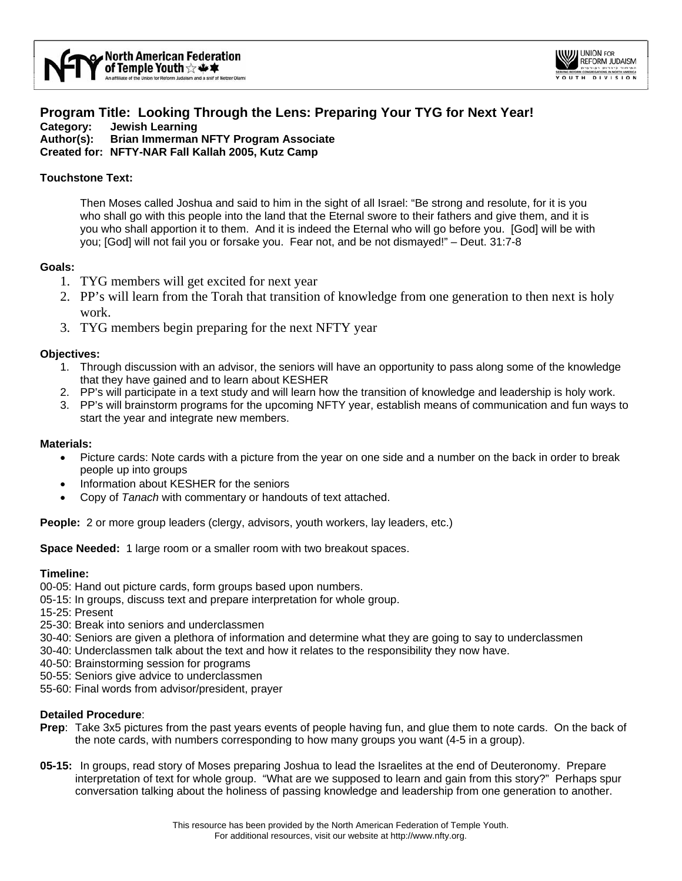

# **Program Title: Looking Through the Lens: Preparing Your TYG for Next Year! Category: Jewish Learning Author(s): Brian Immerman NFTY Program Associate**

**Created for: NFTY-NAR Fall Kallah 2005, Kutz Camp** 

# **Touchstone Text:**

Then Moses called Joshua and said to him in the sight of all Israel: "Be strong and resolute, for it is you who shall go with this people into the land that the Eternal swore to their fathers and give them, and it is you who shall apportion it to them. And it is indeed the Eternal who will go before you. [God] will be with you; [God] will not fail you or forsake you. Fear not, and be not dismayed!" – Deut. 31:7-8

## **Goals:**

- 1. TYG members will get excited for next year
- 2. PP's will learn from the Torah that transition of knowledge from one generation to then next is holy work.
- 3. TYG members begin preparing for the next NFTY year

## **Objectives:**

- 1. Through discussion with an advisor, the seniors will have an opportunity to pass along some of the knowledge that they have gained and to learn about KESHER
- 2. PP's will participate in a text study and will learn how the transition of knowledge and leadership is holy work.
- 3. PP's will brainstorm programs for the upcoming NFTY year, establish means of communication and fun ways to start the year and integrate new members.

## **Materials:**

- Picture cards: Note cards with a picture from the year on one side and a number on the back in order to break people up into groups
- Information about KESHER for the seniors
- Copy of *Tanach* with commentary or handouts of text attached.

**People:** 2 or more group leaders (clergy, advisors, youth workers, lay leaders, etc.)

**Space Needed:** 1 large room or a smaller room with two breakout spaces.

## **Timeline:**

- 00-05: Hand out picture cards, form groups based upon numbers.
- 05-15: In groups, discuss text and prepare interpretation for whole group.
- 15-25: Present
- 25-30: Break into seniors and underclassmen
- 30-40: Seniors are given a plethora of information and determine what they are going to say to underclassmen
- 30-40: Underclassmen talk about the text and how it relates to the responsibility they now have.
- 40-50: Brainstorming session for programs
- 50-55: Seniors give advice to underclassmen
- 55-60: Final words from advisor/president, prayer

## **Detailed Procedure**:

- **Prep**: Take 3x5 pictures from the past years events of people having fun, and glue them to note cards. On the back of the note cards, with numbers corresponding to how many groups you want (4-5 in a group).
- **05-15:** In groups, read story of Moses preparing Joshua to lead the Israelites at the end of Deuteronomy. Prepare interpretation of text for whole group. "What are we supposed to learn and gain from this story?" Perhaps spur conversation talking about the holiness of passing knowledge and leadership from one generation to another.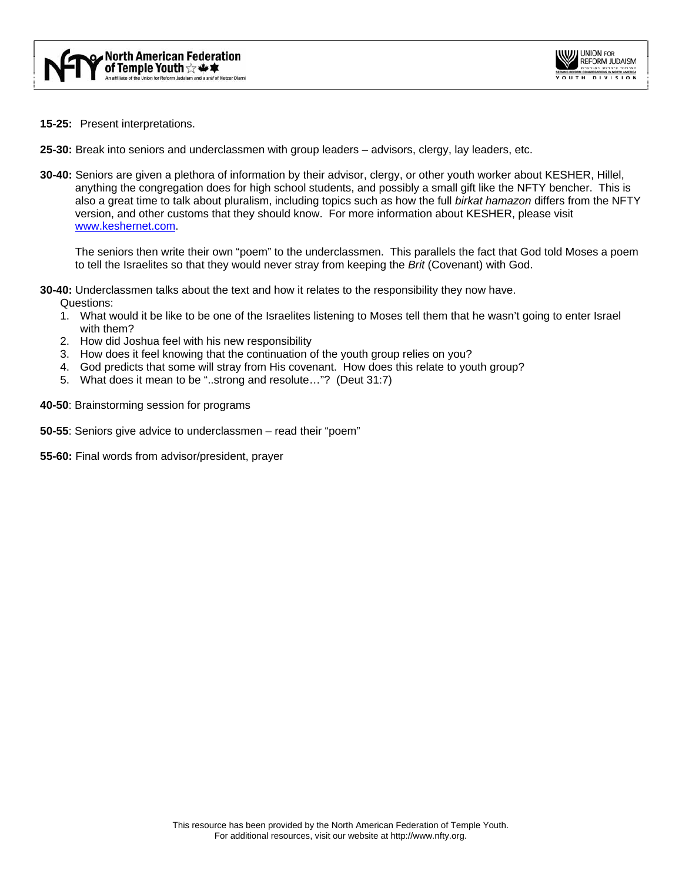

- **15-25:** Present interpretations.
- **25-30:** Break into seniors and underclassmen with group leaders advisors, clergy, lay leaders, etc.
- **30-40:** Seniors are given a plethora of information by their advisor, clergy, or other youth worker about KESHER, Hillel, anything the congregation does for high school students, and possibly a small gift like the NFTY bencher. This is also a great time to talk about pluralism, including topics such as how the full *birkat hamazon* differs from the NFTY version, and other customs that they should know. For more information about KESHER, please visit [www.keshernet.com.](http://www.keshernet.com/)

The seniors then write their own "poem" to the underclassmen. This parallels the fact that God told Moses a poem to tell the Israelites so that they would never stray from keeping the *Brit* (Covenant) with God.

**30-40:** Underclassmen talks about the text and how it relates to the responsibility they now have.

Questions:

- 1. What would it be like to be one of the Israelites listening to Moses tell them that he wasn't going to enter Israel with them?
- 2. How did Joshua feel with his new responsibility
- 3. How does it feel knowing that the continuation of the youth group relies on you?
- 4. God predicts that some will stray from His covenant. How does this relate to youth group?
- 5. What does it mean to be "..strong and resolute…"? (Deut 31:7)
- **40-50**: Brainstorming session for programs
- **50-55**: Seniors give advice to underclassmen read their "poem"
- **55-60:** Final words from advisor/president, prayer